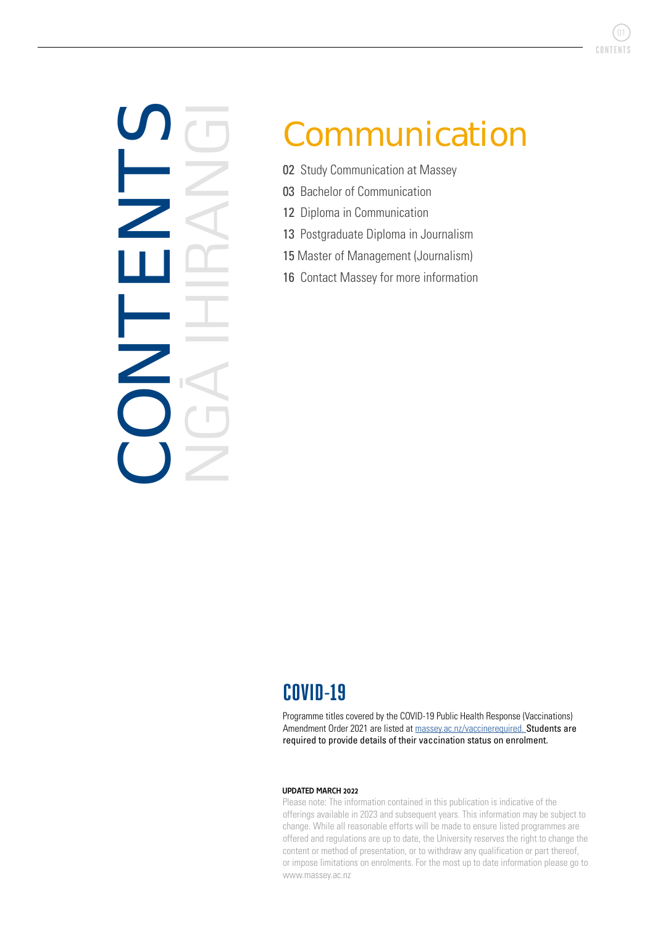

# Communication

**CONTENT** 

- 02 [Study Communication at Massey](#page-2-0)
- 03 [Bachelor of Communication](#page-3-0)
- 12 [Diploma in Communication](#page-12-0)
- 13 [Postgraduate Diploma in Journalism](#page-13-0)
- [15](#page-15-0) Master of Management (Journalism)
- 16 [Contact Massey for more information](#page-16-0)

## **COVID-19**

Programme titles covered by the COVID-19 Public Health Response (Vaccinations) Amendment Order 2021 are listed at massey.ac.nz/vaccinerequired. Students are required to provide details of their vaccination status on enrolment.

#### UPDATED MARCH 2022

Please note: The information contained in this publication is indicative of the offerings available in 2023 and subsequent years. This information may be subject to change. While all reasonable efforts will be made to ensure listed programmes are offered and regulations are up to date, the University reserves the right to change the content or method of presentation, or to withdraw any qualification or part thereof, or impose limitations on enrolments. For the most up to date information please go to [www.massey.ac.nz](http://www.massey.ac.nz)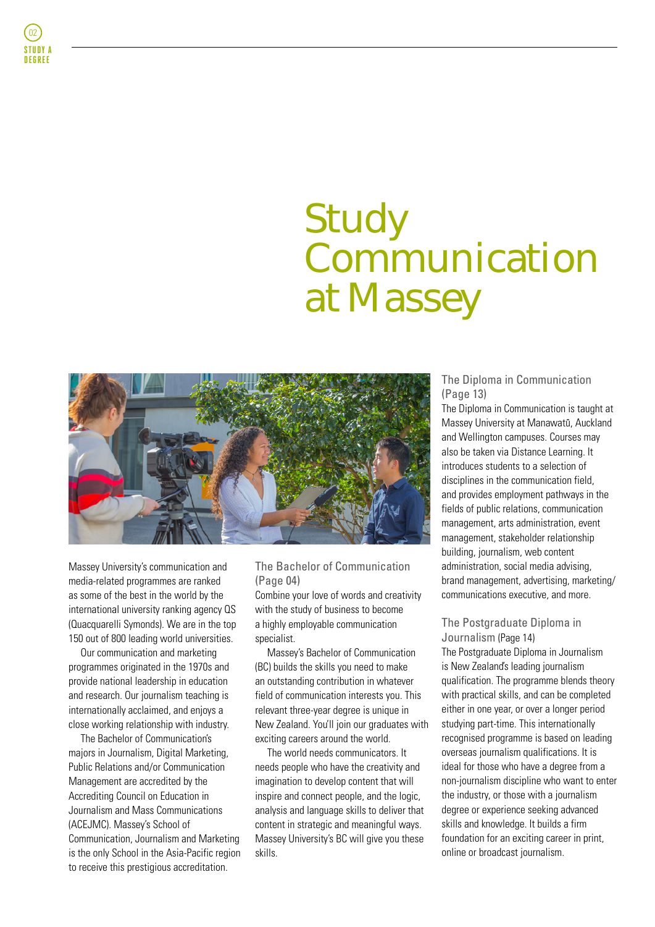# <span id="page-2-0"></span>**Study** Communication at Massey



Massey University's communication and media-related programmes are ranked as some of the best in the world by the international university ranking agency QS (Quacquarelli Symonds). We are in the top 150 out of 800 leading world universities.

Our communication and marketing programmes originated in the 1970s and provide national leadership in education and research. Our journalism teaching is internationally acclaimed, and enjoys a close working relationship with industry.

The Bachelor of Communication's majors in Journalism, Digital Marketing, Public Relations and/or Communication Management are accredited by the Accrediting Council on Education in Journalism and Mass Communications (ACEJMC). Massey's School of Communication, Journalism and Marketing is the only School in the Asia-Pacific region to receive this prestigious accreditation.

The Bachelor of Communication (Page 04)

Combine your love of words and creativity with the study of business to become a highly employable communication specialist.

Massey's Bachelor of Communication (BC) builds the skills you need to make an outstanding contribution in whatever field of communication interests you. This relevant three-year degree is unique in New Zealand. You'll join our graduates with exciting careers around the world.

The world needs communicators. It needs people who have the creativity and imagination to develop content that will inspire and connect people, and the logic, analysis and language skills to deliver that content in strategic and meaningful ways. Massey University's BC will give you these skills.

#### The Diploma in Communication (Page 13)

The Diploma in Communication is taught at Massey University at Manawatū, Auckland and Wellington campuses. Courses may also be taken via Distance Learning. It introduces students to a selection of disciplines in the communication field and provides employment pathways in the fields of public relations, communication management, arts administration, event management, stakeholder relationship building, journalism, web content administration, social media advising, brand management, advertising, marketing/ communications executive, and more.

#### The Postgraduate Diploma in Journalism (Page 14)

The Postgraduate Diploma in Journalism is New Zealand's leading journalism qualification. The programme blends theory with practical skills, and can be completed either in one year, or over a longer period studying part-time. This internationally recognised programme is based on leading overseas journalism qualifications. It is ideal for those who have a degree from a non-journalism discipline who want to enter the industry, or those with a journalism degree or experience seeking advanced skills and knowledge. It builds a firm foundation for an exciting career in print, online or broadcast journalism.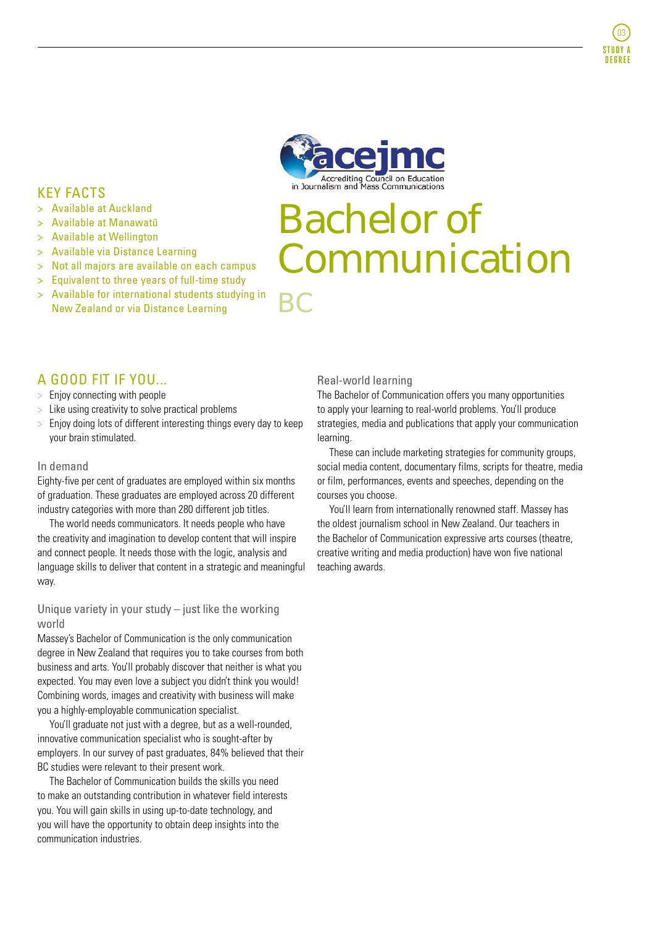- <span id="page-3-0"></span>> Available at Auckland
- > Available at Manawatū
- > Available at Wellington
- > Available via Distance Learning
- > Not all majors are available on each campus
- > Equivalent to three years of full-time study
- Available for international students studying in New Zealand or via Distance Learning

# Accrediting Council on Education<br>in Journalism and Mass Communications

# Bachelor of Communication

#### A GOOD FIT IF YOU...

- > Enjoy connecting with people
- $>$  Like using creativity to solve practical problems
- $>$  Enjoy doing lots of different interesting things every day to keep your brain stimulated.

#### In demand

Eighty-five per cent of graduates are employed within six months of graduation. These graduates are employed across 20 different industry categories with more than 280 different job titles.

The world needs communicators. It needs people who have the creativity and imagination to develop content that will inspire and connect people. It needs those with the logic, analysis and language skills to deliver that content in a strategic and meaningful way.

#### Unique variety in your study – just like the working world

Massey's Bachelor of Communication is the only communication degree in New Zealand that requires you to take courses from both business and arts. You'll probably discover that neither is what you expected. You may even love a subject you didn't think you would! Combining words, images and creativity with business will make you a highly-employable communication specialist.

You'll graduate not just with a degree, but as a well-rounded, innovative communication specialist who is sought-after by employers. In our survey of past graduates, 84% believed that their BC studies were relevant to their present work.

The Bachelor of Communication builds the skills you need to make an outstanding contribution in whatever field interests you. You will gain skills in using up-to-date technology, and you will have the opportunity to obtain deep insights into the communication industries.

#### Real-world learning

RC

The Bachelor of Communication offers you many opportunities to apply your learning to real-world problems. You'll produce strategies, media and publications that apply your communication learning.

These can include marketing strategies for community groups, social media content, documentary films, scripts for theatre, media or film, performances, events and speeches, depending on the courses you choose.

You'll learn from internationally renowned staff. Massey has the oldest journalism school in New Zealand. Our teachers in the Bachelor of Communication expressive arts courses (theatre, creative writing and media production) have won five national teaching awards.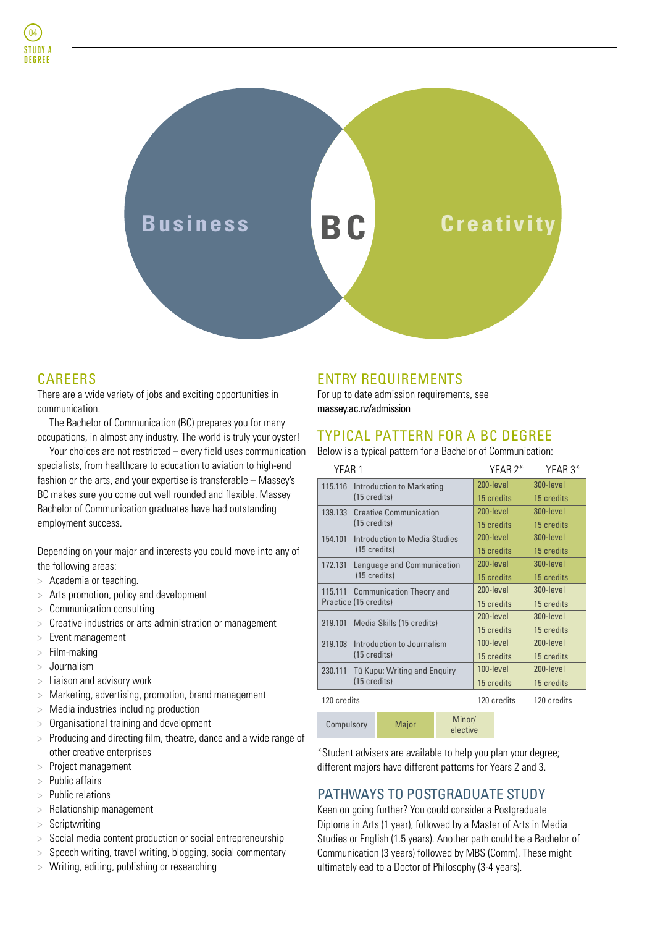

#### CAREERS

There are a wide variety of jobs and exciting opportunities in communication.

The Bachelor of Communication (BC) prepares you for many occupations, in almost any industry. The world is truly your oyster!

Your choices are not restricted – every field uses communication specialists, from healthcare to education to aviation to high-end fashion or the arts, and your expertise is transferable – Massey's BC makes sure you come out well rounded and flexible. Massey Bachelor of Communication graduates have had outstanding employment success.

Depending on your major and interests you could move into any of the following areas:

- > Academia or teaching.
- > Arts promotion, policy and development
- > Communication consulting
- Creative industries or arts administration or management
- > Event management
- > Film-making
- > Journalism
- > Liaison and advisory work
- > Marketing, advertising, promotion, brand management
- > Media industries including production
- > Organisational training and development
- $>$  Producing and directing film, theatre, dance and a wide range of other creative enterprises
- > Project management
- $>$  Public affairs
- > Public relations
- > Relationship management
- > Scriptwriting
- > Social media content production or social entrepreneurship
- > Speech writing, travel writing, blogging, social commentary
- > Writing, editing, publishing or researching

#### ENTRY REQUIREMENTS

For up to date admission requirements, see massey.ac.nz/admission

#### TYPICAL PATTERN FOR A BC DEGREE

Below is a typical pattern for a Bachelor of Communication:

| YEAR 1                               |                                                         |                    | YEAR 2*    |             | YEAR 3*     |
|--------------------------------------|---------------------------------------------------------|--------------------|------------|-------------|-------------|
| 115.116                              | Introduction to Marketing<br>(15 credits)               |                    | 200-level  |             | 300-level   |
|                                      |                                                         |                    |            | 15 credits  | 15 credits  |
| 139.133                              | <b>Creative Communication</b><br>(15 credits)           |                    | 200-level  |             | 300-level   |
|                                      |                                                         |                    |            | 15 credits  | 15 credits  |
| 154.101                              | Introduction to Media Studies<br>$(15 \text{ credits})$ |                    | 200-level  |             | 300-level   |
|                                      |                                                         |                    | 15 credits |             | 15 credits  |
| 172.131                              | Language and Communication<br>(15 credits)              |                    | 200-level  |             | 300-level   |
|                                      |                                                         |                    |            | 15 credits  | 15 credits  |
|                                      | 115.111 Communication Theory and                        |                    | 200-level  |             | 300-level   |
| Practice (15 credits)                |                                                         |                    | 15 credits |             | 15 credits  |
| Media Skills (15 credits)<br>219.101 |                                                         |                    | 200-level  |             | 300-level   |
|                                      |                                                         |                    | 15 credits |             | 15 credits  |
| 219.108                              | Introduction to Journalism                              |                    |            | 100-level   | 200-level   |
|                                      | (15 credits)                                            |                    |            | 15 credits  | 15 credits  |
| 230.111                              | Tū Kupu: Writing and Enguiry                            |                    | 100-level  |             | 200-level   |
|                                      | (15 credits)                                            |                    |            | 15 credits  | 15 credits  |
| 120 credits                          |                                                         |                    |            | 120 credits | 120 credits |
| Compulsory<br>Major                  |                                                         | Minor/<br>elective |            |             |             |

\*Student advisers are available to help you plan your degree; different majors have different patterns for Years 2 and 3.

#### PATHWAYS TO POSTGRADUATE STUDY

Keen on going further? You could consider a Postgraduate Diploma in Arts (1 year), followed by a Master of Arts in Media Studies or English (1.5 years). Another path could be a Bachelor of Communication (3 years) followed by MBS (Comm). These might ultimately ead to a Doctor of Philosophy (3-4 years).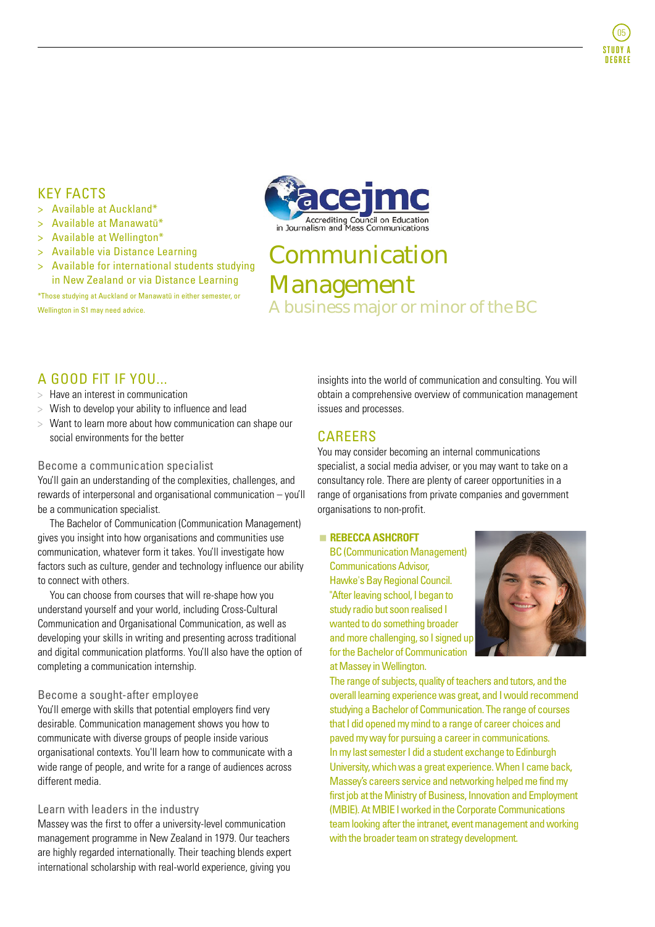#### 05 **STUDY A DEGREE**

#### KEY FACTS

- > Available at Auckland\*
- > Available at Manawatū\*
- > Available at Wellington\*
- > Available via Distance Learning
- > Available for international students studying in New Zealand or via Distance Learning

\*Those studying at Auckland or Manawatū in either semester, or Wellington in S1 may need advice.



### **Communication** Management A business major or minor of the BC

#### A GOOD FIT IF YOU...

- > Have an interest in communication
- $>$  Wish to develop your ability to influence and lead
- > Want to learn more about how communication can shape our social environments for the better

#### Become a communication specialist

You'll gain an understanding of the complexities, challenges, and rewards of interpersonal and organisational communication – you'll be a communication specialist.

The Bachelor of Communication (Communication Management) gives you insight into how organisations and communities use communication, whatever form it takes. You'll investigate how factors such as culture, gender and technology influence our ability to connect with others.

You can choose from courses that will re-shape how you understand yourself and your world, including Cross-Cultural Communication and Organisational Communication, as well as developing your skills in writing and presenting across traditional and digital communication platforms. You'll also have the option of completing a communication internship.

#### Become a sought-after employee

You'll emerge with skills that potential employers find very desirable. Communication management shows you how to communicate with diverse groups of people inside various organisational contexts. You'll learn how to communicate with a wide range of people, and write for a range of audiences across different media.

#### Learn with leaders in the industry

Massey was the first to offer a university-level communication management programme in New Zealand in 1979. Our teachers are highly regarded internationally. Their teaching blends expert international scholarship with real-world experience, giving you

insights into the world of communication and consulting. You will obtain a comprehensive overview of communication management issues and processes.

#### CAREERS

You may consider becoming an internal communications specialist, a social media adviser, or you may want to take on a consultancy role. There are plenty of career opportunities in a range of organisations from private companies and government organisations to non-profit.

#### **REBECCA ASHCROFT**

BC (Communication Management) Communications Advisor, Hawke's Bay Regional Council. "After leaving school, I began to study radio but soon realised I wanted to do something broader and more challenging, so I signed up for the Bachelor of Communication at Massey in Wellington.



The range of subjects, quality of teachers and tutors, and the overall learning experience was great, and I would recommend studying a Bachelor of Communication. The range of courses that I did opened my mind to a range of career choices and paved my way for pursuing a career in communications. In my last semester I did a student exchange to Edinburgh University, which was a great experience. When I came back, Massey's careers service and networking helped me find my first job at the Ministry of Business, Innovation and Employment (MBIE). At MBIE I worked in the Corporate Communications team looking after the intranet, event management and working with the broader team on strategy development.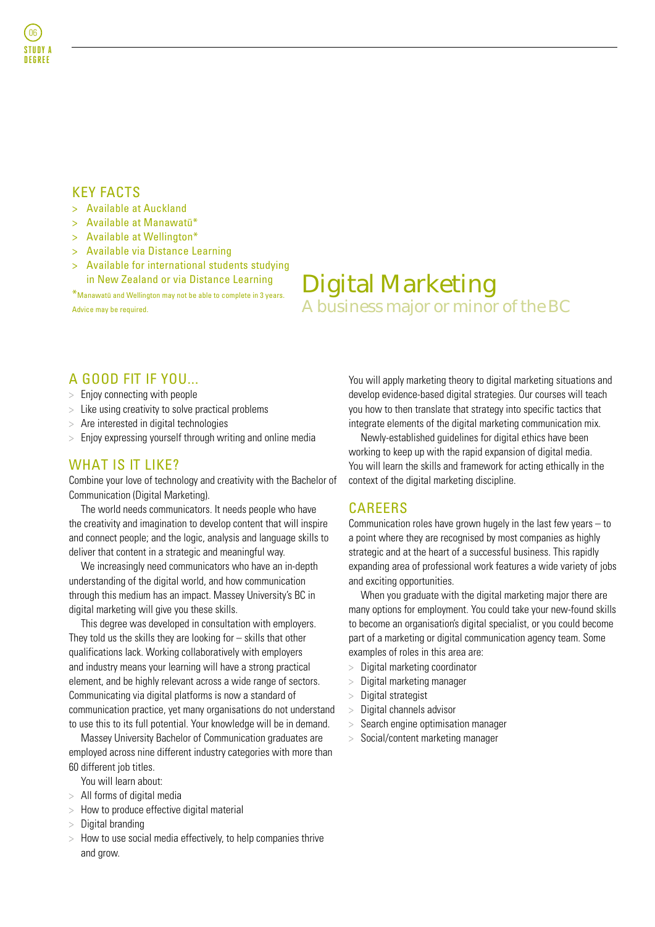06 **STUDY A DEGREE**

- > Available at Auckland
- > Available at Manawatū\*
- > Available at Wellington\*
- > Available via Distance Learning
- > Available for international students studying in New Zealand or via Distance Learning

\*Manawatū and Wellington may not be able to complete in 3 years. Advice may be required.

### Digital Marketing A business major or minor of the BC

#### A GOOD FIT IF YOU...

- > Enjoy connecting with people
- > Like using creativity to solve practical problems
- > Are interested in digital technologies
- $>$  Enjoy expressing yourself through writing and online media

#### WHAT IS IT LIKE?

Combine your love of technology and creativity with the Bachelor of Communication (Digital Marketing).

The world needs communicators. It needs people who have the creativity and imagination to develop content that will inspire and connect people; and the logic, analysis and language skills to deliver that content in a strategic and meaningful way.

We increasingly need communicators who have an in-depth understanding of the digital world, and how communication through this medium has an impact. Massey University's BC in digital marketing will give you these skills.

This degree was developed in consultation with employers. They told us the skills they are looking for  $-$  skills that other qualifications lack. Working collaboratively with employers and industry means your learning will have a strong practical element, and be highly relevant across a wide range of sectors. Communicating via digital platforms is now a standard of communication practice, yet many organisations do not understand to use this to its full potential. Your knowledge will be in demand.

Massey University Bachelor of Communication graduates are employed across nine different industry categories with more than 60 different job titles.

You will learn about:

- > All forms of digital media
- > How to produce effective digital material
- > Digital branding
- $>$  How to use social media effectively, to help companies thrive and grow.

You will apply marketing theory to digital marketing situations and develop evidence-based digital strategies. Our courses will teach you how to then translate that strategy into specific tactics that integrate elements of the digital marketing communication mix.

Newly-established guidelines for digital ethics have been working to keep up with the rapid expansion of digital media. You will learn the skills and framework for acting ethically in the context of the digital marketing discipline.

#### CAREERS

Communication roles have grown hugely in the last few years – to a point where they are recognised by most companies as highly strategic and at the heart of a successful business. This rapidly expanding area of professional work features a wide variety of jobs and exciting opportunities.

When you graduate with the digital marketing major there are many options for employment. You could take your new-found skills to become an organisation's digital specialist, or you could become part of a marketing or digital communication agency team. Some examples of roles in this area are:

- > Digital marketing coordinator
- > Digital marketing manager
- > Digital strategist
- > Digital channels advisor
- > Search engine optimisation manager
- Social/content marketing manager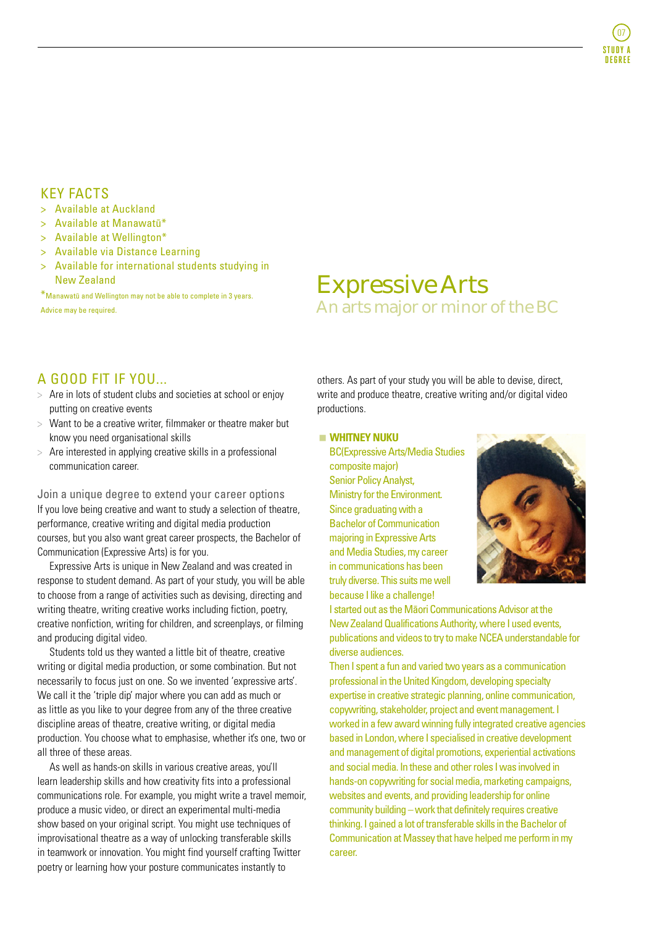#### 07 **STUDY A DEGREE**

#### KEY FACTS

- > Available at Auckland
- > Available at Manawatū\*
- > Available at Wellington\*
- > Available via Distance Learning
- > Available for international students studying in New Zealand

\*Manawatū and Wellington may not be able to complete in 3 years. Advice may be required.

### Expressive Arts An arts major or minor of the BC

#### A GOOD FIT IF YOU...

- $>$  Are in lots of student clubs and societies at school or enjoy putting on creative events
- $>$  Want to be a creative writer, filmmaker or theatre maker but know you need organisational skills
- $>$  Are interested in applying creative skills in a professional communication career.

Join a unique degree to extend your career options If you love being creative and want to study a selection of theatre, performance, creative writing and digital media production courses, but you also want great career prospects, the Bachelor of Communication (Expressive Arts) is for you.

Expressive Arts is unique in New Zealand and was created in response to student demand. As part of your study, you will be able to choose from a range of activities such as devising, directing and writing theatre, writing creative works including fiction, poetry, creative nonfiction, writing for children, and screenplays, or filming and producing digital video.

Students told us they wanted a little bit of theatre, creative writing or digital media production, or some combination. But not necessarily to focus just on one. So we invented 'expressive arts'. We call it the 'triple dip' major where you can add as much or as little as you like to your degree from any of the three creative discipline areas of theatre, creative writing, or digital media production. You choose what to emphasise, whether it's one, two or all three of these areas.

As well as hands-on skills in various creative areas, you'll learn leadership skills and how creativity fits into a professional communications role. For example, you might write a travel memoir, produce a music video, or direct an experimental multi-media show based on your original script. You might use techniques of improvisational theatre as a way of unlocking transferable skills in teamwork or innovation. You might find yourself crafting Twitter poetry or learning how your posture communicates instantly to

others. As part of your study you will be able to devise, direct, write and produce theatre, creative writing and/or digital video productions.

#### **WHITNEY NUKU**

BC(Expressive Arts/Media Studies composite major) Senior Policy Analyst, Ministry for the Environment. Since graduating with a Bachelor of Communication majoring in Expressive Arts and Media Studies, my career in communications has been truly diverse. This suits me well because I like a challenge!



I started out as the Māori Communications Advisor at the New Zealand Qualifications Authority, where I used events, publications and videos to try to make NCEA understandable for diverse audiences.

Then I spent a fun and varied two years as a communication professional in the United Kingdom, developing specialty expertise in creative strategic planning, online communication, copywriting, stakeholder, project and event management. I worked in a few award winning fully integrated creative agencies based in London, where I specialised in creative development and management of digital promotions, experiential activations and social media. In these and other roles I was involved in hands-on copywriting for social media, marketing campaigns, websites and events, and providing leadership for online community building – work that definitely requires creative thinking. I gained a lot of transferable skills in the Bachelor of Communication at Massey that have helped me perform in my career.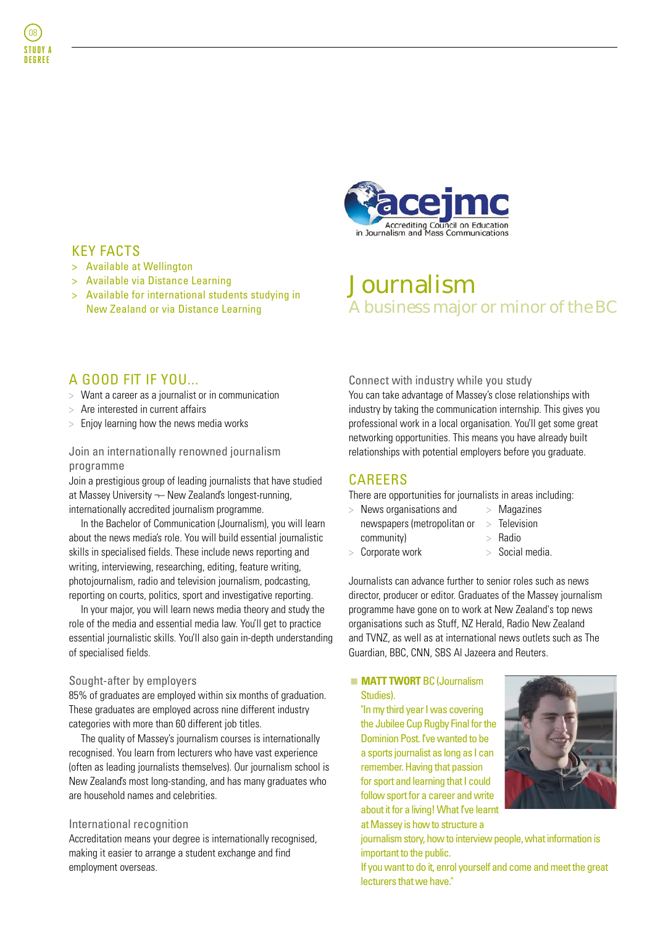08 **STUDY A DEGREE**

- > Available at Wellington
- > Available via Distance Learning
- > Available for international students studying in New Zealand or via Distance Learning

# acet Accrediting Council on Education<br>in Journalism and Mass Communications

### Journalism A business major or minor of the BC

#### A GOOD FIT IF YOU...

- > Want a career as a journalist or in communication
- > Are interested in current affairs
- $>$  Enjoy learning how the news media works

Join an internationally renowned journalism programme

Join a prestigious group of leading journalists that have studied at Massey University - New Zealand's longest-running, internationally accredited journalism programme.

In the Bachelor of Communication (Journalism), you will learn about the news media's role. You will build essential journalistic skills in specialised fields. These include news reporting and writing, interviewing, researching, editing, feature writing, photojournalism, radio and television journalism, podcasting, reporting on courts, politics, sport and investigative reporting.

In your major, you will learn news media theory and study the role of the media and essential media law. You'll get to practice essential journalistic skills. You'll also gain in-depth understanding of specialised fields.

#### Sought-after by employers

85% of graduates are employed within six months of graduation. These graduates are employed across nine different industry categories with more than 60 different job titles.

The quality of Massey's journalism courses is internationally recognised. You learn from lecturers who have vast experience (often as leading journalists themselves). Our journalism school is New Zealand's most long-standing, and has many graduates who are household names and celebrities.

#### International recognition

Accreditation means your degree is internationally recognised, making it easier to arrange a student exchange and find employment overseas.

Connect with industry while you study You can take advantage of Massey's close relationships with industry by taking the communication internship. This gives you professional work in a local organisation. You'll get some great networking opportunities. This means you have already built relationships with potential employers before you graduate.

#### CAREERS

There are opportunities for journalists in areas including:

- > News organisations and newspapers (metropolitan or > Television community)
	-
- > Social media.

Journalists can advance further to senior roles such as news director, producer or editor. Graduates of the Massey journalism programme have gone on to work at New Zealand's top news organisations such as Stuff, NZ Herald, Radio New Zealand and TVNZ, as well as at international news outlets such as The Guardian, BBC, CNN, SBS Al Jazeera and Reuters.

#### **MATT TWORT** BC (Journalism Studies).

"In my third year I was covering the Jubilee Cup Rugby Final for the Dominion Post. I've wanted to be a sports journalist as long as I can remember. Having that passion for sport and learning that I could follow sport for a career and write about it for a living! What I've learnt at Massey is how to structure a



journalism story, how to interview people, what information is important to the public.

If you want to do it, enrol yourself and come and meet the great lecturers that we have."

- > Magazines
- 
- > Radio
- > Corporate work
-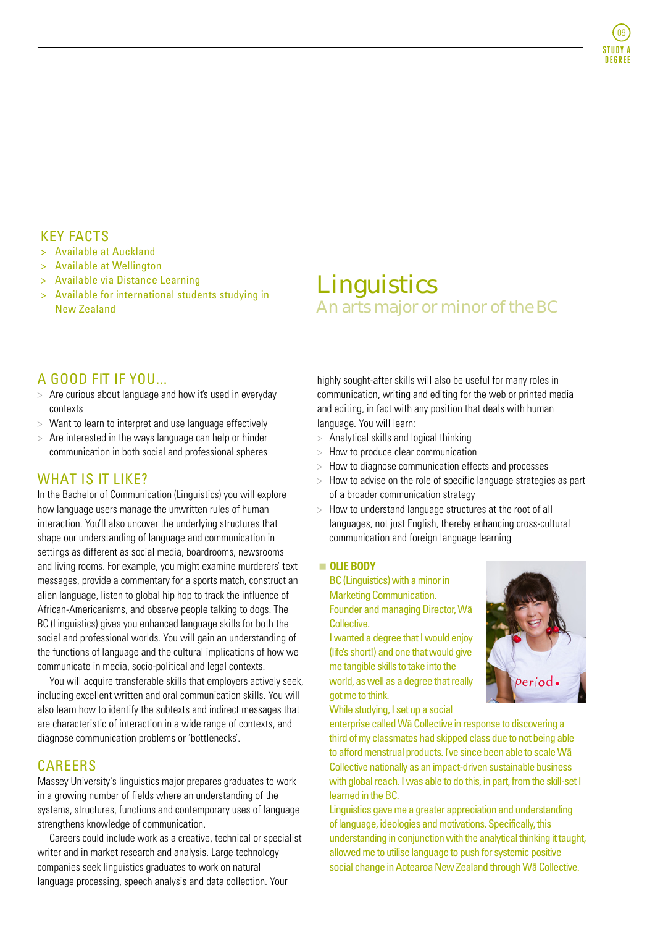- > Available at Auckland
- > Available at Wellington
- > Available via Distance Learning
- > Available for international students studying in New Zealand

### **Linguistics** An arts major or minor of the BC

#### A GOOD FIT IF YOU...

- $>$  Are curious about language and how it's used in everyday contexts
- > Want to learn to interpret and use language effectively
- $>$  Are interested in the ways language can help or hinder communication in both social and professional spheres

#### WHAT IS IT LIKE?

In the Bachelor of Communication (Linguistics) you will explore how language users manage the unwritten rules of human interaction. You'll also uncover the underlying structures that shape our understanding of language and communication in settings as different as social media, boardrooms, newsrooms and living rooms. For example, you might examine murderers' text messages, provide a commentary for a sports match, construct an alien language, listen to global hip hop to track the influence of African-Americanisms, and observe people talking to dogs. The BC (Linguistics) gives you enhanced language skills for both the social and professional worlds. You will gain an understanding of the functions of language and the cultural implications of how we communicate in media, socio-political and legal contexts.

You will acquire transferable skills that employers actively seek, including excellent written and oral communication skills. You will also learn how to identify the subtexts and indirect messages that are characteristic of interaction in a wide range of contexts, and diagnose communication problems or 'bottlenecks'.

#### CAREERS

Massey University's linguistics major prepares graduates to work in a growing number of fields where an understanding of the systems, structures, functions and contemporary uses of language strengthens knowledge of communication.

Careers could include work as a creative, technical or specialist writer and in market research and analysis. Large technology companies seek linguistics graduates to work on natural language processing, speech analysis and data collection. Your

highly sought-after skills will also be useful for many roles in communication, writing and editing for the web or printed media and editing, in fact with any position that deals with human language. You will learn:

- $>$  Analytical skills and logical thinking
- How to produce clear communication
- > How to diagnose communication effects and processes
- $>$  How to advise on the role of specific language strategies as part of a broader communication strategy
- > How to understand language structures at the root of all languages, not just English, thereby enhancing cross-cultural communication and foreign language learning

#### **OLIE BODY**

BC (Linguistics) with a minor in Marketing Communication. Founder and managing Director, Wā Collective.

I wanted a degree that I would enjoy (life's short!) and one that would give me tangible skills to take into the world, as well as a degree that really got me to think.

While studying, I set up a social

enterprise called Wā Collective in response to discovering a third of my classmates had skipped class due to not being able to afford menstrual products. I've since been able to scale Wa Collective nationally as an impact-driven sustainable business with global reach. I was able to do this, in part, from the skill-set I learned in the BC.

Linguistics gave me a greater appreciation and understanding of language, ideologies and motivations. Specifically, this understanding in conjunction with the analytical thinking it taught, allowed me to utilise language to push for systemic positive social change in Aotearoa New Zealand through Wā Collective.



09 **STUDY A DEGREE**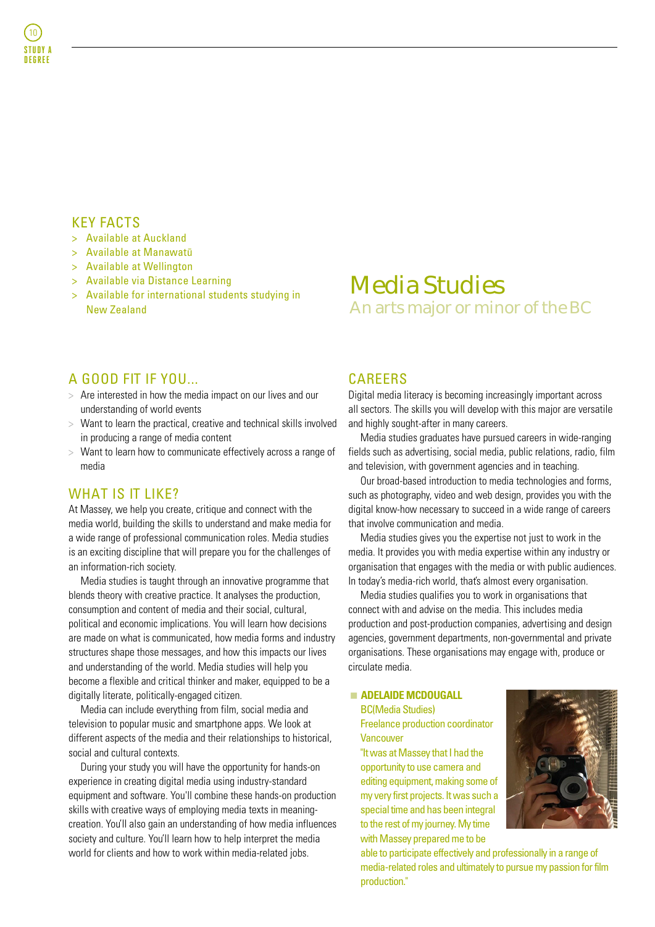10 **STUDY A DEGREE**

- > Available at Auckland
- > Available at Manawatū
- > Available at Wellington
- > Available via Distance Learning
- > Available for international students studying in New Zealand

### Media Studies An arts major or minor of the BC

#### A GOOD FIT IF YOU...

- $>$  Are interested in how the media impact on our lives and our understanding of world events
- > Want to learn the practical, creative and technical skills involved in producing a range of media content
- > Want to learn how to communicate effectively across a range of media

#### WHAT IS **IT LIKE?**

At Massey, we help you create, critique and connect with the media world, building the skills to understand and make media for a wide range of professional communication roles. Media studies is an exciting discipline that will prepare you for the challenges of an information-rich society.

Media studies is taught through an innovative programme that blends theory with creative practice. It analyses the production, consumption and content of media and their social, cultural, political and economic implications. You will learn how decisions are made on what is communicated, how media forms and industry structures shape those messages, and how this impacts our lives and understanding of the world. Media studies will help you become a flexible and critical thinker and maker, equipped to be a digitally literate, politically-engaged citizen.

Media can include everything from film, social media and television to popular music and smartphone apps. We look at different aspects of the media and their relationships to historical, social and cultural contexts.

During your study you will have the opportunity for hands-on experience in creating digital media using industry-standard equipment and software. You'll combine these hands-on production skills with creative ways of employing media texts in meaningcreation. You'll also gain an understanding of how media influences society and culture. You'll learn how to help interpret the media world for clients and how to work within media-related jobs.

#### CAREERS

Digital media literacy is becoming increasingly important across all sectors. The skills you will develop with this major are versatile and highly sought-after in many careers.

Media studies graduates have pursued careers in wide-ranging fields such as advertising, social media, public relations, radio, film and television, with government agencies and in teaching.

Our broad-based introduction to media technologies and forms, such as photography, video and web design, provides you with the digital know-how necessary to succeed in a wide range of careers that involve communication and media.

Media studies gives you the expertise not just to work in the media. It provides you with media expertise within any industry or organisation that engages with the media or with public audiences. In today's media-rich world, that's almost every organisation.

Media studies qualifies you to work in organisations that connect with and advise on the media. This includes media production and post-production companies, advertising and design agencies, government departments, non-governmental and private organisations. These organisations may engage with, produce or circulate media.

#### **ADELAIDE MCDOUGALL**

BC(Media Studies)

Freelance production coordinator Vancouver

"It was at Massey that I had the opportunity to use camera and editing equipment, making some of my very first projects. It was such a special time and has been integral to the rest of my journey. My time with Massey prepared me to be



able to participate effectively and professionally in a range of media-related roles and ultimately to pursue my passion for film production."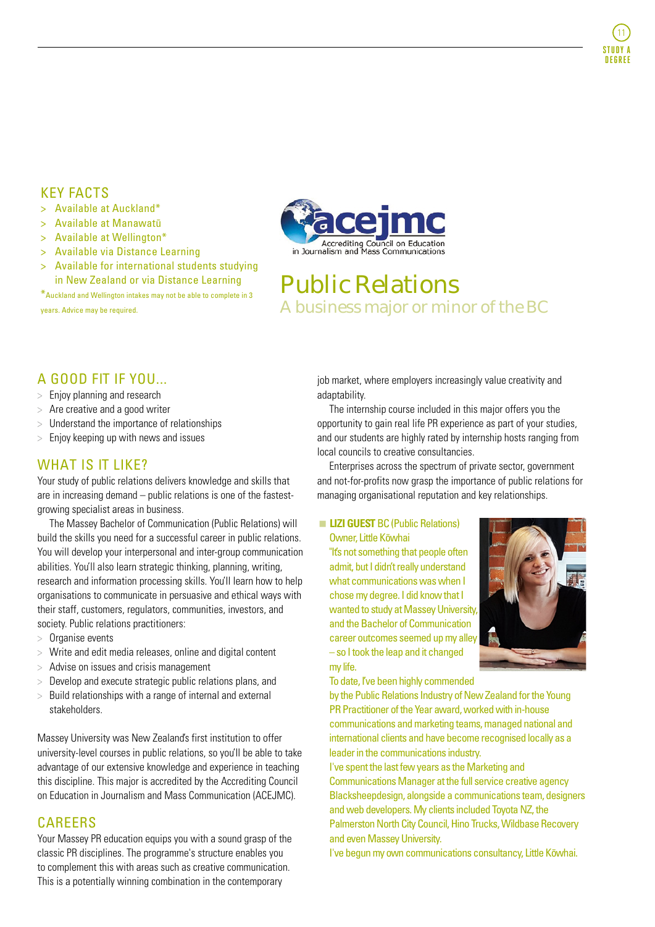#### 11 **STUDY A DEGREE**

#### KEY FACTS

- > Available at Auckland\*
- > Available at Manawatū
- > Available at Wellington\*
- > Available via Distance Learning
- > Available for international students studying in New Zealand or via Distance Learning

\*Auckland and Wellington intakes may not be able to complete in 3 years. Advice may be required.



### Public Relations A business major or minor of the BC

#### A GOOD FIT IF YOU...

- > Enjoy planning and research
- > Are creative and a good writer
- > Understand the importance of relationships
- > Enjoy keeping up with news and issues

#### WHAT IS IT LIKE?

Your study of public relations delivers knowledge and skills that are in increasing demand – public relations is one of the fastestgrowing specialist areas in business.

The Massey Bachelor of Communication (Public Relations) will build the skills you need for a successful career in public relations. You will develop your interpersonal and inter-group communication abilities. You'll also learn strategic thinking, planning, writing, research and information processing skills. You'll learn how to help organisations to communicate in persuasive and ethical ways with their staff, customers, regulators, communities, investors, and society. Public relations practitioners:

- > Organise events
- > Write and edit media releases, online and digital content
- Advise on issues and crisis management
- > Develop and execute strategic public relations plans, and
- > Build relationships with a range of internal and external stakeholders.

Massey University was New Zealand's first institution to offer university-level courses in public relations, so you'll be able to take advantage of our extensive knowledge and experience in teaching this discipline. This major is accredited by the Accrediting Council on Education in Journalism and Mass Communication (ACEJMC).

#### **CARFFRS**

Your Massey PR education equips you with a sound grasp of the classic PR disciplines. The programme's structure enables you to complement this with areas such as creative communication. This is a potentially winning combination in the contemporary

job market, where employers increasingly value creativity and adaptability.

The internship course included in this major offers you the opportunity to gain real life PR experience as part of your studies, and our students are highly rated by internship hosts ranging from local councils to creative consultancies.

Enterprises across the spectrum of private sector, government and not-for-profits now grasp the importance of public relations for managing organisational reputation and key relationships.

#### **LIZI GUEST** BC (Public Relations) Owner, Little Kōwhai

"It's not something that people often admit, but I didn't really understand what communications was when I chose my degree. I did know that I wanted to study at Massey University, and the Bachelor of Communication career outcomes seemed up my alley – so I took the leap and it changed my life.



To date, I've been highly commended

by the Public Relations Industry of New Zealand for the Young PR Practitioner of the Year award, worked with in-house communications and marketing teams, managed national and international clients and have become recognised locally as a leader in the communications industry.

I've spent the last few years as the Marketing and Communications Manager at the full service creative agency Blacksheepdesign, alongside a communications team, designers and web developers. My clients included Toyota NZ, the Palmerston North City Council, Hino Trucks, Wildbase Recovery and even Massey University.

I've begun my own communications consultancy, Little Kōwhai.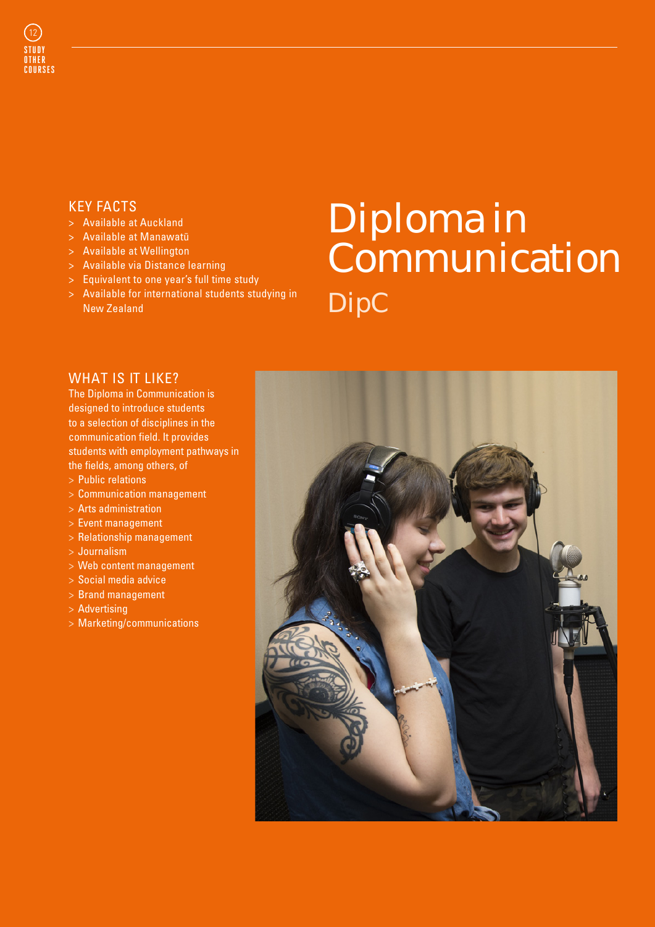<span id="page-12-0"></span>12 **STUDY OTHER COURSES**

- > Available at Auckland
- > Available at Manawatū
- > Available at Wellington
- > Available via Distance learning
- > Equivalent to one year's full time study
- > Available for international students studying in New Zealand

# Diploma in **Communication** DipC

#### WHAT IS IT LIKE?

The Diploma in Communication is designed to introduce students to a selection of disciplines in the communication field. It provides students with employment pathways in the fields, among others, of

- > Public relations
- > Communication management
- > Arts administration
- > Event management
- > Relationship management
- > Journalism
- > Web content management
- > Social media advice
- > Brand management
- > Advertising
- > Marketing/communications

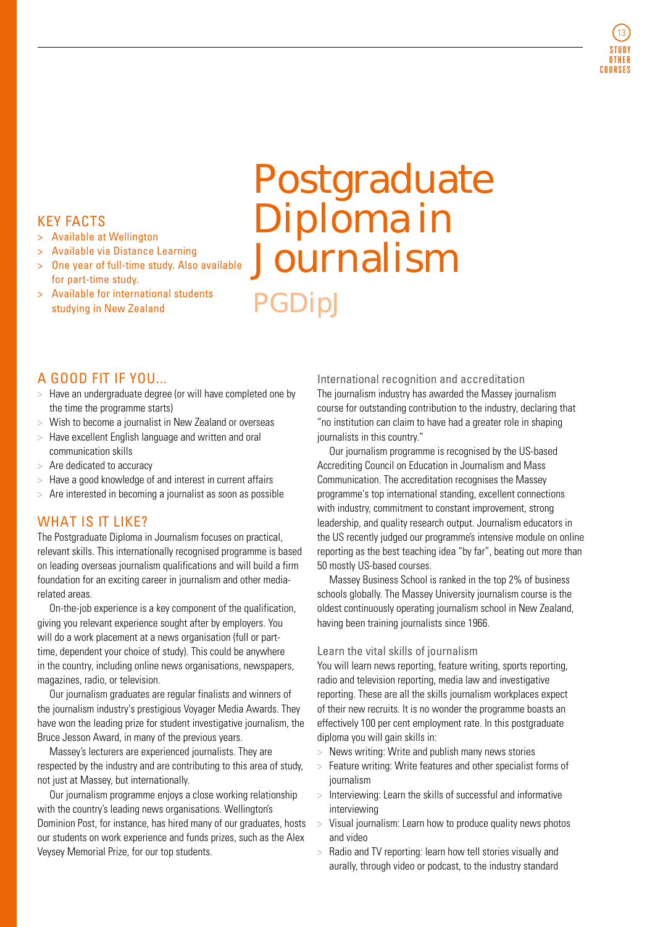# Postgraduate Diploma in Journalism **PGDipJ**

#### <span id="page-13-0"></span>KEY FACTS

- > Available at Wellington
- > Available via Distance Learning
- One year of full-time study. Also available for part-time study.
- > Available for international students studying in New Zealand

#### A GOOD FIT IF YOU...

- $>$  Have an undergraduate degree (or will have completed one by the time the programme starts)
- > Wish to become a journalist in New Zealand or overseas
- > Have excellent English language and written and oral communication skills
- > Are dedicated to accuracy
- Have a good knowledge of and interest in current affairs
- $>$  Are interested in becoming a journalist as soon as possible

#### WHAT IS IT LIKE?

The Postgraduate Diploma in Journalism focuses on practical, relevant skills. This internationally recognised programme is based on leading overseas journalism qualifications and will build a firm foundation for an exciting career in journalism and other mediarelated areas.

On-the-job experience is a key component of the qualification, giving you relevant experience sought after by employers. You will do a work placement at a news organisation (full or parttime, dependent your choice of study). This could be anywhere in the country, including online news organisations, newspapers, magazines, radio, or television.

Our journalism graduates are regular finalists and winners of the journalism industry's prestigious Voyager Media Awards. They have won the leading prize for student investigative journalism, the Bruce Jesson Award, in many of the previous years.

Massey's lecturers are experienced journalists. They are respected by the industry and are contributing to this area of study, not just at Massey, but internationally.

Our journalism programme enjoys a close working relationship with the country's leading news organisations. Wellington's Dominion Post, for instance, has hired many of our graduates, hosts our students on work experience and funds prizes, such as the Alex Veysey Memorial Prize, for our top students.

International recognition and accreditation The journalism industry has awarded the Massey journalism course for outstanding contribution to the industry, declaring that "no institution can claim to have had a greater role in shaping journalists in this country."

Our journalism programme is recognised by the US-based Accrediting Council on Education in Journalism and Mass Communication. The accreditation recognises the Massey programme's top international standing, excellent connections with industry, commitment to constant improvement, strong leadership, and quality research output. Journalism educators in the US recently judged our programme's intensive module on online reporting as the best teaching idea "by far", beating out more than 50 mostly US-based courses.

Massey Business School is ranked in the top 2% of business schools globally. The Massey University journalism course is the oldest continuously operating journalism school in New Zealand, having been training journalists since 1966.

#### Learn the vital skills of journalism

You will learn news reporting, feature writing, sports reporting, radio and television reporting, media law and investigative reporting. These are all the skills journalism workplaces expect of their new recruits. It is no wonder the programme boasts an effectively 100 per cent employment rate. In this postgraduate diploma you will gain skills in:

- > News writing: Write and publish many news stories
- > Feature writing: Write features and other specialist forms of journalism
- > Interviewing: Learn the skills of successful and informative interviewing
- > Visual journalism: Learn how to produce quality news photos and video
- > Radio and TV reporting: learn how tell stories visually and aurally, through video or podcast, to the industry standard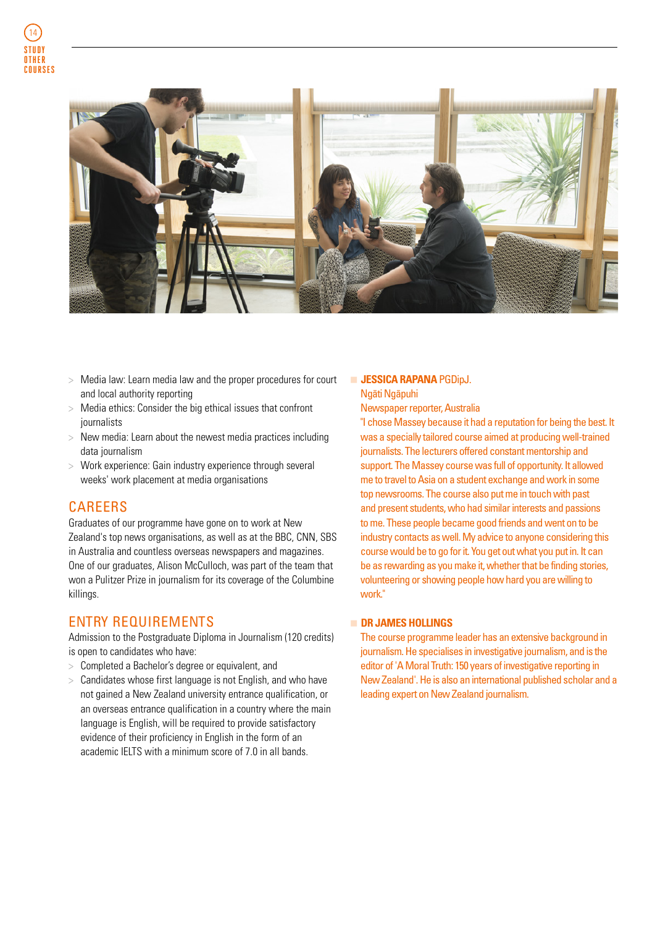

- > Media law: Learn media law and the proper procedures for court and local authority reporting
- > Media ethics: Consider the big ethical issues that confront journalists
- $>$  New media: Learn about the newest media practices including data journalism
- > Work experience: Gain industry experience through several weeks' work placement at media organisations

#### CAREERS

Graduates of our programme have gone on to work at New Zealand's top news organisations, as well as at the BBC, CNN, SBS in Australia and countless overseas newspapers and magazines. One of our graduates, Alison McCulloch, was part of the team that won a Pulitzer Prize in journalism for its coverage of the Columbine killings.

#### ENTRY REQUIREMENTS

Admission to the Postgraduate Diploma in Journalism (120 credits) is open to candidates who have:

- > Completed a Bachelor's degree or equivalent, and
- $>$  Candidates whose first language is not English, and who have not gained a New Zealand university entrance qualification, or an overseas entrance qualification in a country where the main language is English, will be required to provide satisfactory evidence of their proficiency in English in the form of an academic IELTS with a minimum score of 7.0 in all bands.

#### **JESSICA RAPANA** PGDipJ.

Ngāti Ngāpuhi

Newspaper reporter, Australia

"I chose Massey because it had a reputation for being the best. It was a specially tailored course aimed at producing well-trained journalists. The lecturers offered constant mentorship and support. The Massey course was full of opportunity. It allowed me to travel to Asia on a student exchange and work in some top newsrooms. The course also put me in touch with past and present students, who had similar interests and passions to me. These people became good friends and went on to be industry contacts as well. My advice to anyone considering this course would be to go for it. You get out what you put in. It can be as rewarding as you make it, whether that be finding stories, volunteering or showing people how hard you are willing to work."

#### **DR JAMES HOLLINGS**

The course programme leader has an extensive background in journalism. He specialises in investigative journalism, and is the editor of 'A Moral Truth: 150 years of investigative reporting in New Zealand'. He is also an international published scholar and a leading expert on New Zealand journalism.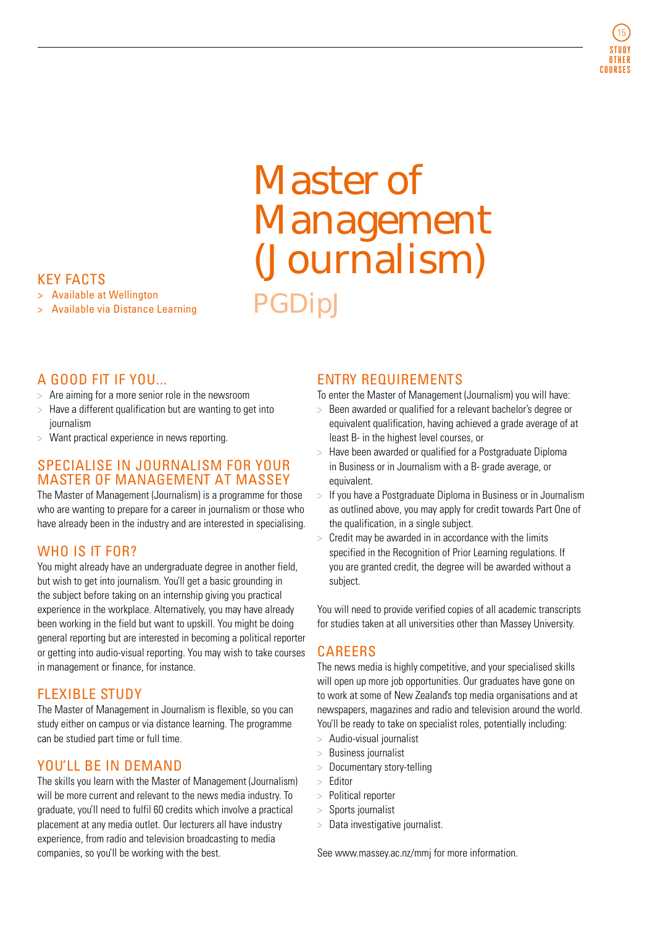# Master of Management (Journalism) **PGDipJ**

#### <span id="page-15-0"></span>KEY FACTS

- > Available at Wellington
- > Available via Distance Learning

#### A GOOD FIT IF YOU...

- > Are aiming for a more senior role in the newsroom
- $>$  Have a different qualification but are wanting to get into journalism
- > Want practical experience in news reporting.

#### SPECIALISE IN JOURNALISM FOR YOUR MASTER OF MANAGEMENT AT MASSEY

The Master of Management (Journalism) is a programme for those who are wanting to prepare for a career in journalism or those who have already been in the industry and are interested in specialising.

#### WHO IS IT FOR?

You might already have an undergraduate degree in another field, but wish to get into journalism. You'll get a basic grounding in the subject before taking on an internship giving you practical experience in the workplace. Alternatively, you may have already been working in the field but want to upskill. You might be doing general reporting but are interested in becoming a political reporter or getting into audio-visual reporting. You may wish to take courses in management or finance, for instance.

#### FLEXIBLE STUDY

The Master of Management in Journalism is flexible, so you can study either on campus or via distance learning. The programme can be studied part time or full time.

#### YOU'LL BE IN DEMAND

The skills you learn with the Master of Management (Journalism) will be more current and relevant to the news media industry. To graduate, you'll need to fulfil 60 credits which involve a practical placement at any media outlet. Our lecturers all have industry experience, from radio and television broadcasting to media companies, so you'll be working with the best.

#### ENTRY REQUIREMENTS

To enter the Master of Management (Journalism) you will have:

- > Been awarded or qualified for a relevant bachelor's degree or equivalent qualification, having achieved a grade average of at least B- in the highest level courses, or
- > Have been awarded or qualified for a Postgraduate Diploma in Business or in Journalism with a B- grade average, or equivalent.
- > If you have a Postgraduate Diploma in Business or in Journalism as outlined above, you may apply for credit towards Part One of the qualification, in a single subject.
- $>$  Credit may be awarded in in accordance with the limits specified in the Recognition of Prior Learning regulations. If you are granted credit, the degree will be awarded without a subject.

You will need to provide verified copies of all academic transcripts for studies taken at all universities other than Massey University.

#### **CARFFRS**

The news media is highly competitive, and your specialised skills will open up more job opportunities. Our graduates have gone on to work at some of New Zealand's top media organisations and at newspapers, magazines and radio and television around the world. You'll be ready to take on specialist roles, potentially including:

- > Audio-visual journalist
- > Business journalist
- > Documentary story-telling
- > Editor
- > Political reporter
- > Sports journalist
- Data investigative journalist.

See www.massey.ac.nz/mmj for more information.